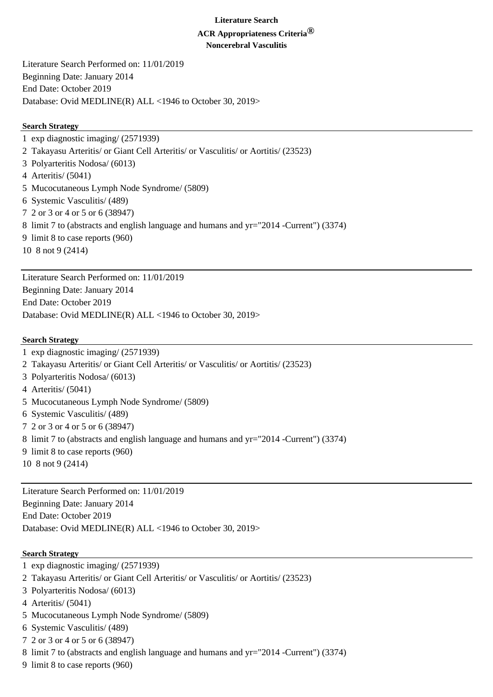#### **Literature Search**

# **ACR Appropriateness Criteria®**

**Noncerebral Vasculitis**

Literature Search Performed on: 11/01/2019 Beginning Date: January 2014 End Date: October 2019 Database: Ovid MEDLINE(R) ALL <1946 to October 30, 2019>

#### **Search Strategy**

1 exp diagnostic imaging/ (2571939) 2 Takayasu Arteritis/ or Giant Cell Arteritis/ or Vasculitis/ or Aortitis/ (23523) 3 Polyarteritis Nodosa/ (6013) 4 Arteritis/ (5041) 5 Mucocutaneous Lymph Node Syndrome/ (5809) 6 Systemic Vasculitis/ (489) 7 2 or 3 or 4 or 5 or 6 (38947) 8 limit 7 to (abstracts and english language and humans and yr="2014 -Current") (3374) 9 limit 8 to case reports (960) 10 8 not 9 (2414)

Literature Search Performed on: 11/01/2019 Beginning Date: January 2014 End Date: October 2019 Database: Ovid MEDLINE(R) ALL <1946 to October 30, 2019>

#### **Search Strategy**

- 1 exp diagnostic imaging/ (2571939)
- 2 Takayasu Arteritis/ or Giant Cell Arteritis/ or Vasculitis/ or Aortitis/ (23523)
- 3 Polyarteritis Nodosa/ (6013)
- 4 Arteritis/ (5041)
- 5 Mucocutaneous Lymph Node Syndrome/ (5809)
- 6 Systemic Vasculitis/ (489)
- 7 2 or 3 or 4 or 5 or 6 (38947)
- 8 limit 7 to (abstracts and english language and humans and yr="2014 -Current") (3374)
- 9 limit 8 to case reports (960)
- 10 8 not 9 (2414)

Literature Search Performed on: 11/01/2019 Beginning Date: January 2014 End Date: October 2019 Database: Ovid MEDLINE(R) ALL <1946 to October 30, 2019>

#### **Search Strategy**

- 1 exp diagnostic imaging/ (2571939)
- 2 Takayasu Arteritis/ or Giant Cell Arteritis/ or Vasculitis/ or Aortitis/ (23523)
- 3 Polyarteritis Nodosa/ (6013)
- 4 Arteritis/ (5041)
- 5 Mucocutaneous Lymph Node Syndrome/ (5809)
- 6 Systemic Vasculitis/ (489)
- 7 2 or 3 or 4 or 5 or 6 (38947)
- 8 limit 7 to (abstracts and english language and humans and yr="2014 -Current") (3374)
- 9 limit 8 to case reports (960)